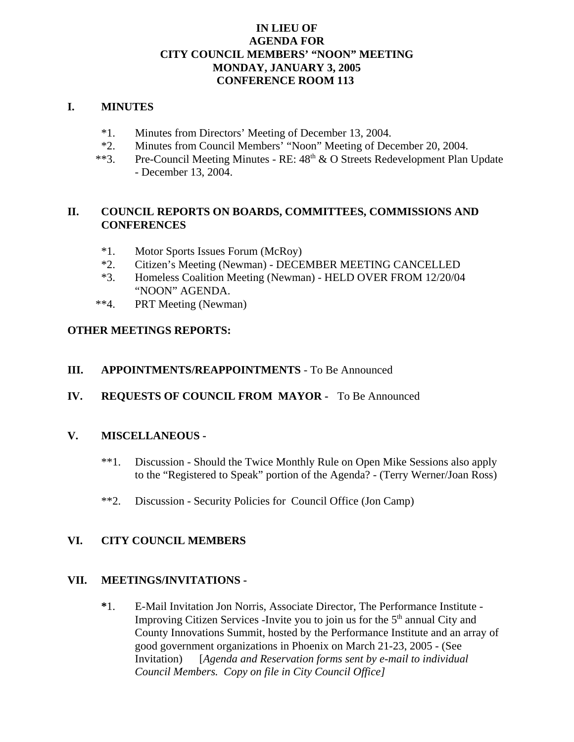# **IN LIEU OF AGENDA FOR CITY COUNCIL MEMBERS' "NOON" MEETING MONDAY, JANUARY 3, 2005 CONFERENCE ROOM 113**

#### **I. MINUTES**

- \*1. Minutes from Directors' Meeting of December 13, 2004.
- \*2. Minutes from Council Members' "Noon" Meeting of December 20, 2004.
- \*\*3. Pre-Council Meeting Minutes RE: 48<sup>th</sup> & O Streets Redevelopment Plan Update - December 13, 2004.

# **II. COUNCIL REPORTS ON BOARDS, COMMITTEES, COMMISSIONS AND CONFERENCES**

- \*1. Motor Sports Issues Forum (McRoy)
- \*2. Citizen's Meeting (Newman) DECEMBER MEETING CANCELLED
- \*3. Homeless Coalition Meeting (Newman) HELD OVER FROM 12/20/04 "NOON" AGENDA.
- \*\*4. PRT Meeting (Newman)

# **OTHER MEETINGS REPORTS:**

- **III. APPOINTMENTS/REAPPOINTMENTS**  To Be Announced
- **IV. REQUESTS OF COUNCIL FROM MAYOR** To Be Announced

# **V. MISCELLANEOUS -**

- \*\*1. Discussion Should the Twice Monthly Rule on Open Mike Sessions also apply to the "Registered to Speak" portion of the Agenda? - (Terry Werner/Joan Ross)
- \*\*2. Discussion Security Policies for Council Office (Jon Camp)

# **VI. CITY COUNCIL MEMBERS**

#### **VII. MEETINGS/INVITATIONS -**

**\***1. E-Mail Invitation Jon Norris, Associate Director, The Performance Institute - Improving Citizen Services -Invite you to join us for the  $5<sup>th</sup>$  annual City and County Innovations Summit, hosted by the Performance Institute and an array of good government organizations in Phoenix on March 21-23, 2005 - (See Invitation) [*Agenda and Reservation forms sent by e-mail to individual Council Members. Copy on file in City Council Office]*